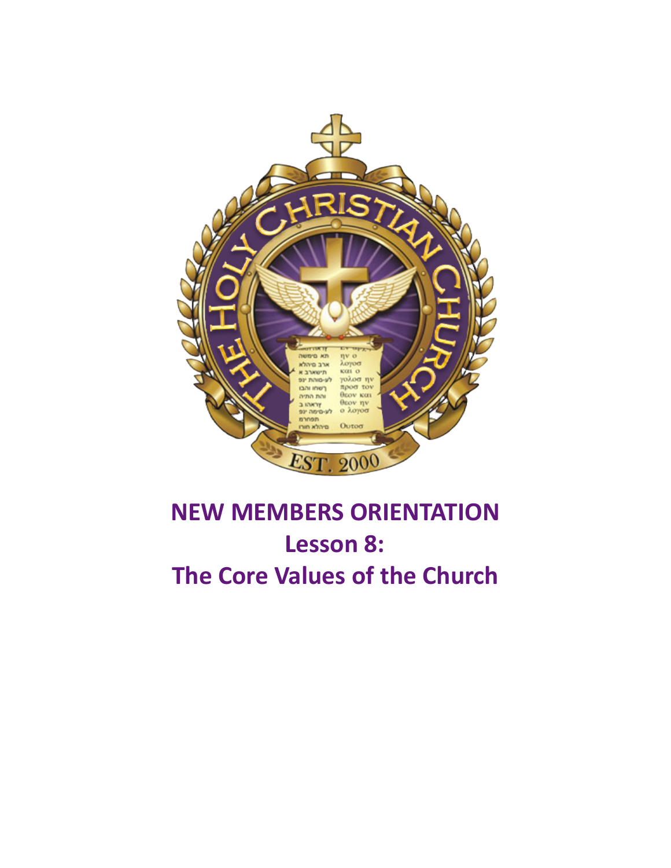

# **NEW MEMBERS ORIENTATION** Lesson 8: **The Core Values of the Church**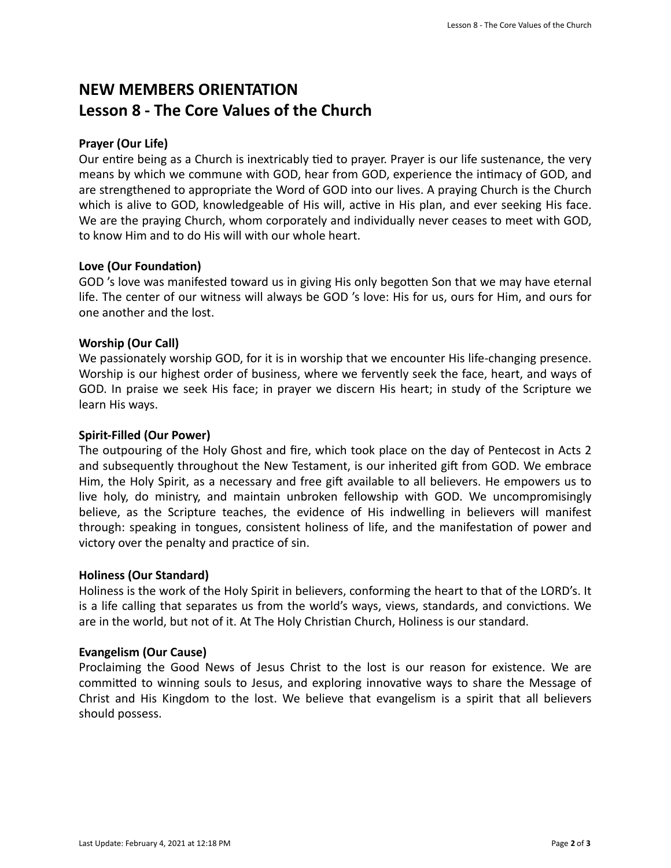# **NEW MEMBERS ORIENTATION** Lesson 8 - The Core Values of the Church

# **Prayer (Our Life)**

Our entire being as a Church is inextricably tied to prayer. Prayer is our life sustenance, the very means by which we commune with GOD, hear from GOD, experience the intimacy of GOD, and are strengthened to appropriate the Word of GOD into our lives. A praying Church is the Church which is alive to GOD, knowledgeable of His will, active in His plan, and ever seeking His face. We are the praying Church, whom corporately and individually never ceases to meet with GOD, to know Him and to do His will with our whole heart.

# Love (Our Foundation)

GOD 's love was manifested toward us in giving His only begotten Son that we may have eternal life. The center of our witness will always be GOD 's love: His for us, ours for Him, and ours for one another and the lost.

# **Worship (Our Call)**

We passionately worship GOD, for it is in worship that we encounter His life-changing presence. Worship is our highest order of business, where we fervently seek the face, heart, and ways of GOD. In praise we seek His face; in prayer we discern His heart; in study of the Scripture we learn His ways.

## **Spirit-Filled (Our Power)**

The outpouring of the Holy Ghost and fire, which took place on the day of Pentecost in Acts 2 and subsequently throughout the New Testament, is our inherited gift from GOD. We embrace Him, the Holy Spirit, as a necessary and free gift available to all believers. He empowers us to live holy, do ministry, and maintain unbroken fellowship with GOD. We uncompromisingly believe, as the Scripture teaches, the evidence of His indwelling in believers will manifest through: speaking in tongues, consistent holiness of life, and the manifestation of power and victory over the penalty and practice of sin.

## **Holiness (Our Standard)**

Holiness is the work of the Holy Spirit in believers, conforming the heart to that of the LORD's. It is a life calling that separates us from the world's ways, views, standards, and convictions. We are in the world, but not of it. At The Holy Christian Church, Holiness is our standard.

## **Evangelism (Our Cause)**

Proclaiming the Good News of Jesus Christ to the lost is our reason for existence. We are committed to winning souls to Jesus, and exploring innovative ways to share the Message of Christ and His Kingdom to the lost. We believe that evangelism is a spirit that all believers should possess.